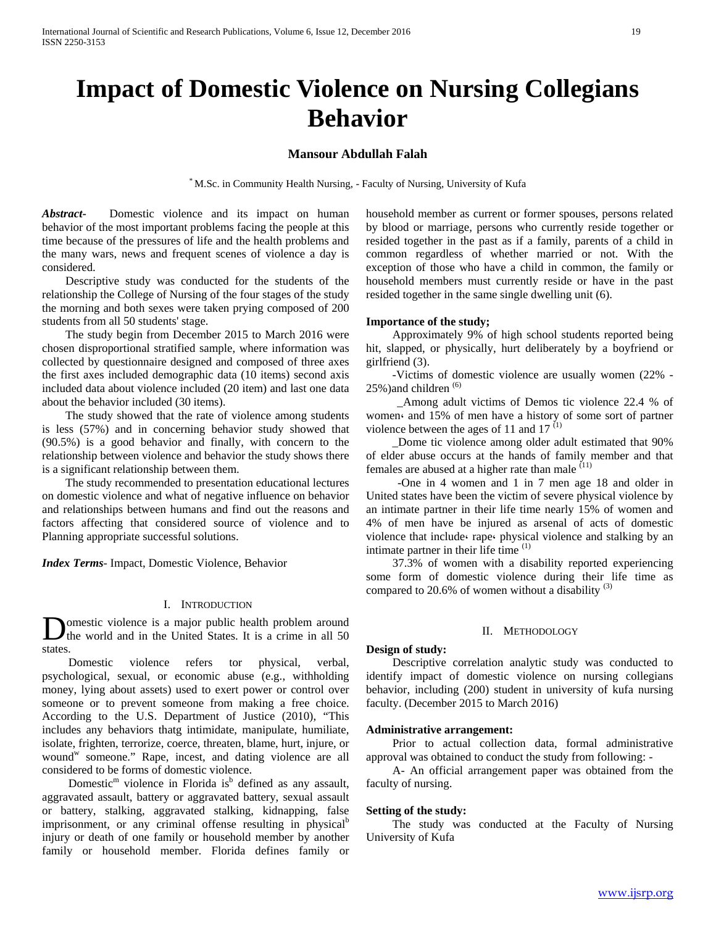# **Impact of Domestic Violence on Nursing Collegians Behavior**

# **Mansour Abdullah Falah**

\* M.Sc. in Community Health Nursing, - Faculty of Nursing, University of Kufa

*Abstract***-** Domestic violence and its impact on human behavior of the most important problems facing the people at this time because of the pressures of life and the health problems and the many wars, news and frequent scenes of violence a day is considered.

 Descriptive study was conducted for the students of the relationship the College of Nursing of the four stages of the study the morning and both sexes were taken prying composed of 200 students from all 50 students' stage.

 The study begin from December 2015 to March 2016 were chosen disproportional stratified sample, where information was collected by questionnaire designed and composed of three axes the first axes included demographic data (10 items) second axis included data about violence included (20 item) and last one data about the behavior included (30 items).

 The study showed that the rate of violence among students is less (57%) and in concerning behavior study showed that (90.5%) is a good behavior and finally, with concern to the relationship between violence and behavior the study shows there is a significant relationship between them.

 The study recommended to presentation educational lectures on domestic violence and what of negative influence on behavior and relationships between humans and find out the reasons and factors affecting that considered source of violence and to Planning appropriate successful solutions.

*Index Terms*- Impact, Domestic Violence, Behavior

# I. INTRODUCTION

omestic violence is a major public health problem around the world and in the United States. It is a crime in all 50  $\sum_{\text{states}}$ 

 Domestic violence refers tor physical, verbal, psychological, sexual, or economic abuse (e.g., withholding money, lying about assets) used to exert power or control over someone or to prevent someone from making a free choice. According to the U.S. Department of Justice (2010), "This includes any behaviors thatg intimidate, manipulate, humiliate, isolate, frighten, terrorize, coerce, threaten, blame, hurt, injure, or wound<sup>w</sup> someone." Rape, incest, and dating violence are all considered to be forms of domestic violence.

Domestic<sup>m</sup> violence in Florida is<sup>b</sup> defined as any assault, aggravated assault, battery or aggravated battery, sexual assault or battery, stalking, aggravated stalking, kidnapping, false imprisonment, or any criminal offense resulting in physical<sup>b</sup> injury or death of one family or household member by another family or household member. Florida defines family or

household member as current or former spouses, persons related by blood or marriage, persons who currently reside together or resided together in the past as if a family, parents of a child in common regardless of whether married or not. With the exception of those who have a child in common, the family or household members must currently reside or have in the past resided together in the same single dwelling unit (6).

# **Importance of the study;**

 Approximately 9% of high school students reported being hit, slapped, or physically, hurt deliberately by a boyfriend or girlfriend (3).

 -Victims of domestic violence are usually women (22% - 25%)and children <sup>(6)</sup>

 \_Among adult victims of Demos tic violence 22.4 % of women، and 15% of men have a history of some sort of partner violence between the ages of 11 and  $17<sup>(1)</sup>$ 

 \_Dome tic violence among older adult estimated that 90% of elder abuse occurs at the hands of family member and that females are abused at a higher rate than male  $(11)$ 

 -One in 4 women and 1 in 7 men age 18 and older in United states have been the victim of severe physical violence by an intimate partner in their life time nearly 15% of women and 4% of men have be injured as arsenal of acts of domestic violence that include، rape، physical violence and stalking by an intimate partner in their life time <sup>(1)</sup>

 37.3% of women with a disability reported experiencing some form of domestic violence during their life time as compared to 20.6% of women without a disability<sup>(3)</sup>

### II. METHODOLOGY

# **Design of study:**

 Descriptive correlation analytic study was conducted to identify impact of domestic violence on nursing collegians behavior, including (200) student in university of kufa nursing faculty. (December 2015 to March 2016)

#### **Administrative arrangement:**

 Prior to actual collection data, formal administrative approval was obtained to conduct the study from following: -

 A- An official arrangement paper was obtained from the faculty of nursing.

#### **Setting of the study:**

 The study was conducted at the Faculty of Nursing University of Kufa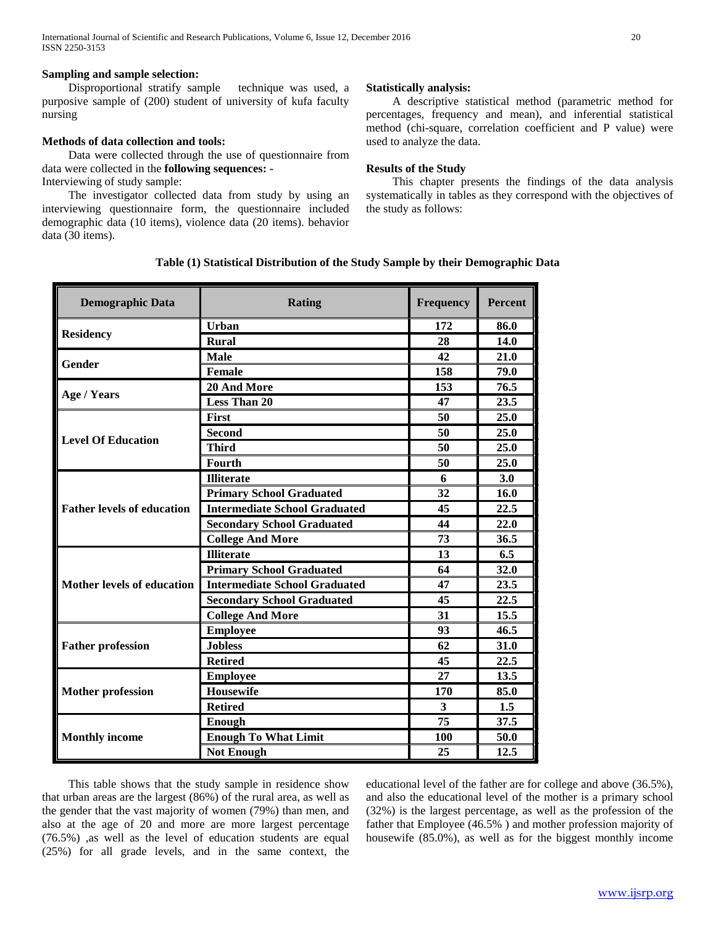# **Sampling and sample selection:**

 Disproportional stratify sample technique was used, a purposive sample of (200) student of university of kufa faculty nursing

# **Methods of data collection and tools:**

 Data were collected through the use of questionnaire from data were collected in the **following sequences: -** Interviewing of study sample:

 The investigator collected data from study by using an interviewing questionnaire form, the questionnaire included demographic data (10 items), violence data (20 items). behavior data (30 items).

# **Statistically analysis:**

 A descriptive statistical method (parametric method for percentages, frequency and mean), and inferential statistical method (chi-square, correlation coefficient and P value) were used to analyze the data.

# **Results of the Study**

 This chapter presents the findings of the data analysis systematically in tables as they correspond with the objectives of the study as follows:

# **Table (1) Statistical Distribution of the Study Sample by their Demographic Data**

| <b>Demographic Data</b>           | Rating                               | <b>Frequency</b> | <b>Percent</b> |
|-----------------------------------|--------------------------------------|------------------|----------------|
|                                   | Urban                                | 172              | 86.0           |
| <b>Residency</b>                  | <b>Rural</b>                         | 28               | 14.0           |
| Gender                            | <b>Male</b>                          | 42               | 21.0           |
|                                   | Female                               | 158              | 79.0           |
|                                   | 20 And More                          | 153              | 76.5           |
| Age / Years                       | <b>Less Than 20</b>                  | 47               | 23.5           |
| <b>Level Of Education</b>         | <b>First</b>                         | 50               | 25.0           |
|                                   | <b>Second</b>                        | 50               | 25.0           |
|                                   | <b>Third</b>                         | 50               | 25.0           |
|                                   | Fourth                               | 50               | 25.0           |
|                                   | <b>Illiterate</b>                    | 6                | 3.0            |
|                                   | <b>Primary School Graduated</b>      | 32               | 16.0           |
| <b>Father levels of education</b> | <b>Intermediate School Graduated</b> | 45               | 22.5           |
|                                   | <b>Secondary School Graduated</b>    | 44               | 22.0           |
|                                   | <b>College And More</b>              | 73               | 36.5           |
|                                   | <b>Illiterate</b>                    | 13               | 6.5            |
|                                   | <b>Primary School Graduated</b>      | 64               | 32.0           |
| <b>Mother levels of education</b> | <b>Intermediate School Graduated</b> | 47               | 23.5           |
|                                   | <b>Secondary School Graduated</b>    | 45               | 22.5           |
|                                   | <b>College And More</b>              | 31               | 15.5           |
| <b>Father profession</b>          | <b>Employee</b>                      | 93               | 46.5           |
|                                   | <b>Jobless</b>                       | 62               | 31.0           |
|                                   | <b>Retired</b>                       | 45               | 22.5           |
| <b>Mother profession</b>          | <b>Employee</b>                      | 27               | 13.5           |
|                                   | Housewife                            | 170              | 85.0           |
|                                   | <b>Retired</b>                       | 3                | 1.5            |
|                                   | Enough                               | 75               | 37.5           |
| <b>Monthly income</b>             | <b>Enough To What Limit</b>          | 100              | 50.0           |
|                                   | <b>Not Enough</b>                    | 25               | 12.5           |

 This table shows that the study sample in residence show that urban areas are the largest (86%) of the rural area, as well as the gender that the vast majority of women (79%) than men, and also at the age of 20 and more are more largest percentage (76.5%) ,as well as the level of education students are equal (25%) for all grade levels, and in the same context, the educational level of the father are for college and above (36.5%), and also the educational level of the mother is a primary school (32%) is the largest percentage, as well as the profession of the father that Employee (46.5% ) and mother profession majority of housewife (85.0%), as well as for the biggest monthly income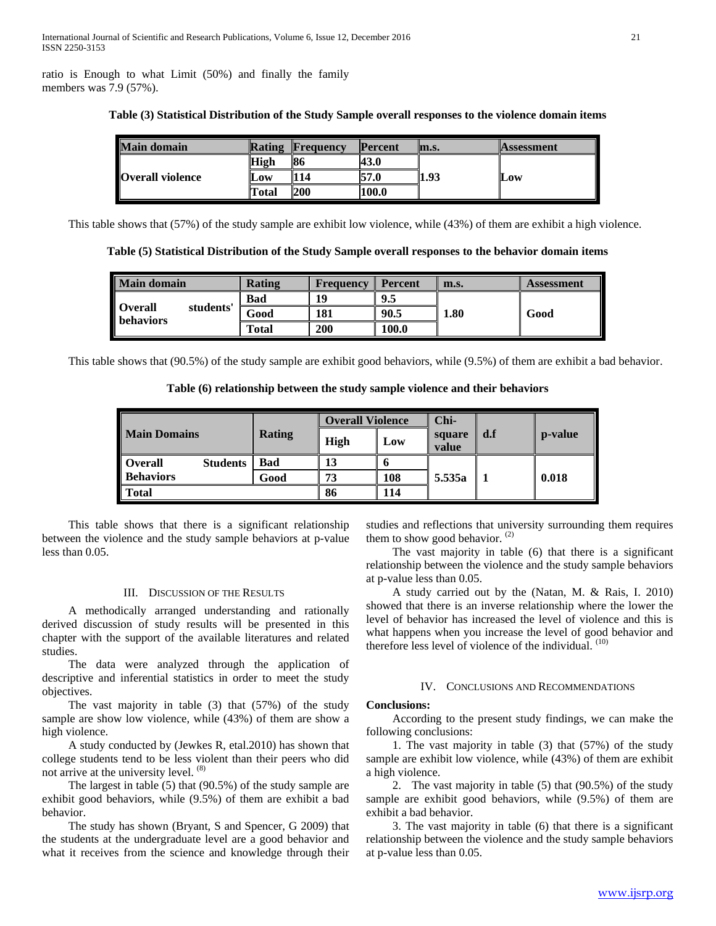ratio is Enough to what Limit (50%) and finally the family members was 7.9 (57%).

| <b>Main domain</b>      | Rating | <b>Frequency</b> | <b>Percent</b> | lm.s. | <b>Assessment</b> |
|-------------------------|--------|------------------|----------------|-------|-------------------|
| <b>Overall violence</b> | High   | 86               | 43.0           | 1.93  | Low               |
|                         | Low    | 114              | 57.0           |       |                   |
|                         | Total  | 200              | 100.0          |       |                   |

#### **Table (3) Statistical Distribution of the Study Sample overall responses to the violence domain items**

This table shows that (57%) of the study sample are exhibit low violence, while (43%) of them are exhibit a high violence.

**Table (5) Statistical Distribution of the Study Sample overall responses to the behavior domain items**

| <b>Main domain</b>                              | Rating     | <b>Frequency</b> | <b>Percent</b> | m.s.     | Assessment |
|-------------------------------------------------|------------|------------------|----------------|----------|------------|
| <b>Overall</b><br>students'<br><b>behaviors</b> | <b>Bad</b> | 19               | 9.5            | $1.80\,$ | Good       |
|                                                 | Good       | 181              | 90.5           |          |            |
|                                                 | Total      | 200              | 100.0          |          |            |

This table shows that (90.5%) of the study sample are exhibit good behaviors, while (9.5%) of them are exhibit a bad behavior.

**Table (6) relationship between the study sample violence and their behaviors**

|                                   | <b>Rating</b> | <b>Overall Violence</b> |     | Chi-            |     |         |
|-----------------------------------|---------------|-------------------------|-----|-----------------|-----|---------|
| <b>Main Domains</b>               |               | High                    | Low | square<br>value | d.f | p-value |
| <b>Overall</b><br><b>Students</b> | Bad           | 13                      |     |                 |     |         |
| <b>Behaviors</b>                  | Good          | 73                      | 108 | 5.535a          |     | 0.018   |
| Total                             |               | 86                      | 114 |                 |     |         |

 This table shows that there is a significant relationship between the violence and the study sample behaviors at p-value less than 0.05.

# III. DISCUSSION OF THE RESULTS

 A methodically arranged understanding and rationally derived discussion of study results will be presented in this chapter with the support of the available literatures and related studies.

 The data were analyzed through the application of descriptive and inferential statistics in order to meet the study objectives.

 The vast majority in table (3) that (57%) of the study sample are show low violence, while (43%) of them are show a high violence.

 A study conducted by (Jewkes R, etal.2010) has shown that college students tend to be less violent than their peers who did not arrive at the university level. <sup>(8)</sup>

 The largest in table (5) that (90.5%) of the study sample are exhibit good behaviors, while (9.5%) of them are exhibit a bad behavior.

 The study has shown (Bryant, S and Spencer, G 2009) that the students at the undergraduate level are a good behavior and what it receives from the science and knowledge through their studies and reflections that university surrounding them requires them to show good behavior.<sup>(2)</sup>

 The vast majority in table (6) that there is a significant relationship between the violence and the study sample behaviors at p-value less than 0.05.

 A study carried out by the (Natan, M. & Rais, I. 2010) showed that there is an inverse relationship where the lower the level of behavior has increased the level of violence and this is what happens when you increase the level of good behavior and therefore less level of violence of the individual. <sup>(10)</sup>

#### IV. CONCLUSIONS AND RECOMMENDATIONS

#### **Conclusions:**

 According to the present study findings, we can make the following conclusions:

 1. The vast majority in table (3) that (57%) of the study sample are exhibit low violence, while (43%) of them are exhibit a high violence.

 2. The vast majority in table (5) that (90.5%) of the study sample are exhibit good behaviors, while (9.5%) of them are exhibit a bad behavior.

 3. The vast majority in table (6) that there is a significant relationship between the violence and the study sample behaviors at p-value less than 0.05.